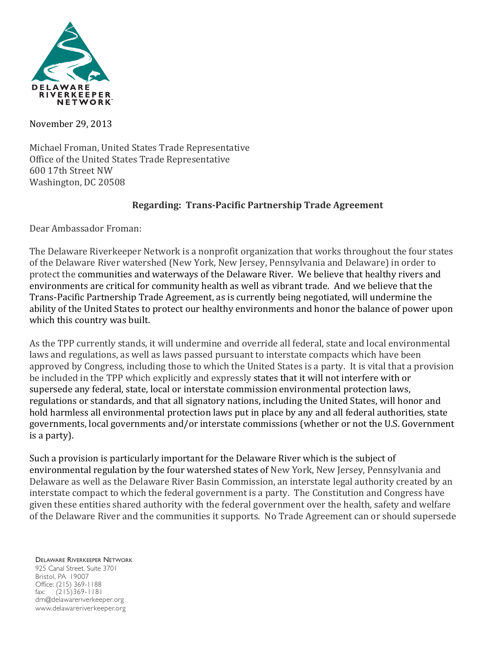

November 29, 2013

Michael Froman, United States Trade Representative Office of the United States Trade Representative 600 17th Street NW Washington, DC 20508

# **Regarding: Trans-Pacific Partnership Trade Agreement**

Dear Ambassador Froman:

The Delaware Riverkeeper Network is a nonprofit organization that works throughout the four states of the Delaware River watershed (New York, New Jersey, Pennsylvania and Delaware) in order to protect the communities and waterways of the Delaware River. We believe that healthy rivers and environments are critical for community health as well as vibrant trade. And we believe that the Trans-Pacific Partnership Trade Agreement, as is currently being negotiated, will undermine the ability of the United States to protect our healthy environments and honor the balance of power upon which this country was built.

As the TPP currently stands, it will undermine and override all federal, state and local environmental laws and regulations, as well as laws passed pursuant to interstate compacts which have been approved by Congress, including those to which the United States is a party. It is vital that a provision be included in the TPP which explicitly and expressly states that it will not interfere with or supersede any federal, state, local or interstate commission environmental protection laws, regulations or standards, and that all signatory nations, including the United States, will honor and hold harmless all environmental protection laws put in place by any and all federal authorities, state governments, local governments and/or interstate commissions (whether or not the U.S. Government is a party).

Such a provision is particularly important for the Delaware River which is the subject of environmental regulation by the four watershed states of New York, New Jersey, Pennsylvania and Delaware as well as the Delaware River Basin Commission, an interstate legal authority created by an interstate compact to which the federal government is a party. The Constitution and Congress have given these entities shared authority with the federal government over the health, safety and welfare of the Delaware River and the communities it supports. No Trade Agreement can or should supersede

DELAWARE RIVERKEEPER NETWORK 925 Canal Street, Suite 3701 Bristol, PA 19007 Office: (215) 369-1188 fax: (215)369-1181 drn@delawareriverkeeper.org www.delawareriverkeeper.org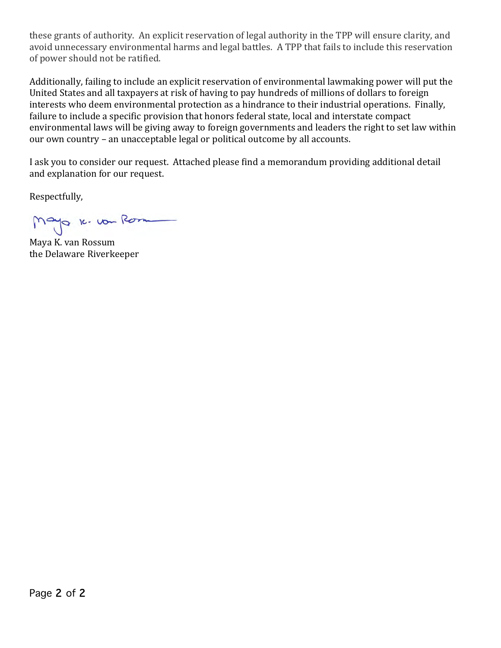these grants of authority. An explicit reservation of legal authority in the TPP will ensure clarity, and avoid unnecessary environmental harms and legal battles. A TPP that fails to include this reservation of power should not be ratified.

Additionally, failing to include an explicit reservation of environmental lawmaking power will put the United States and all taxpayers at risk of having to pay hundreds of millions of dollars to foreign interests who deem environmental protection as a hindrance to their industrial operations. Finally, failure to include a specific provision that honors federal state, local and interstate compact environmental laws will be giving away to foreign governments and leaders the right to set law within our own country – an unacceptable legal or political outcome by all accounts.

I ask you to consider our request. Attached please find a memorandum providing additional detail and explanation for our request.

Respectfully,

Mayo 16. vou Rom

Maya K. van Rossum the Delaware Riverkeeper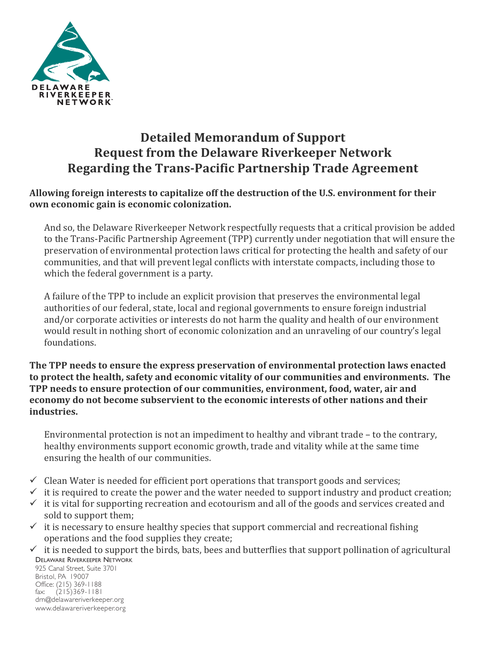

# **Detailed Memorandum of Support Request from the Delaware Riverkeeper Network Regarding the Trans-Pacific Partnership Trade Agreement**

## Allowing foreign interests to capitalize off the destruction of the U.S. environment for their **own economic gain is economic colonization.**

And so, the Delaware Riverkeeper Network respectfully requests that a critical provision be added to the Trans-Pacific Partnership Agreement (TPP) currently under negotiation that will ensure the preservation of environmental protection laws critical for protecting the health and safety of our communities, and that will prevent legal conflicts with interstate compacts, including those to which the federal government is a party.

A failure of the TPP to include an explicit provision that preserves the environmental legal authorities of our federal, state, local and regional governments to ensure foreign industrial and/or corporate activities or interests do not harm the quality and health of our environment would result in nothing short of economic colonization and an unraveling of our country's legal foundations. 

**The TPP needs to ensure the express preservation of environmental protection laws enacted** to protect the health, safety and economic vitality of our communities and environments. The **TPP** needs to ensure protection of our communities, environment, food, water, air and **economy** do not become subservient to the economic interests of other nations and their **industries.** 

Environmental protection is not an impediment to healthy and vibrant trade  $-$  to the contrary, healthy environments support economic growth, trade and vitality while at the same time ensuring the health of our communities.

- $\checkmark$  Clean Water is needed for efficient port operations that transport goods and services;
- $\checkmark$  it is required to create the power and the water needed to support industry and product creation;
- $\checkmark$  it is vital for supporting recreation and ecotourism and all of the goods and services created and sold to support them;
- $\checkmark$  it is necessary to ensure healthy species that support commercial and recreational fishing operations and the food supplies they create;
- DELAWARE RIVERKEEPER NETWORK  $\checkmark$  it is needed to support the birds, bats, bees and butterflies that support pollination of agricultural

925 Canal Street, Suite 3701 Bristol, PA 19007 Office: (215) 369-1188 fax: (215)369-1181 drn@delawareriverkeeper.org www.delawareriverkeeper.org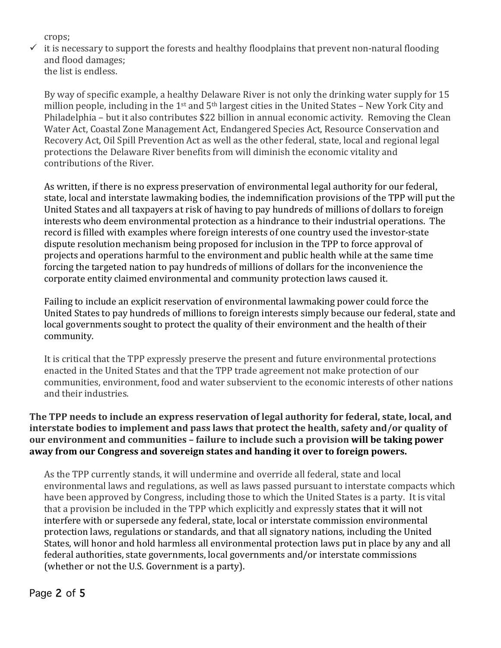crops; 

 $\checkmark$  it is necessary to support the forests and healthy floodplains that prevent non-natural flooding and flood damages: the list is endless.

By way of specific example, a healthy Delaware River is not only the drinking water supply for 15 million people, including in the  $1<sup>st</sup>$  and  $5<sup>th</sup>$  largest cities in the United States – New York City and Philadelphia – but it also contributes \$22 billion in annual economic activity. Removing the Clean Water Act, Coastal Zone Management Act, Endangered Species Act, Resource Conservation and Recovery Act, Oil Spill Prevention Act as well as the other federal, state, local and regional legal protections the Delaware River benefits from will diminish the economic vitality and contributions of the River.

As written, if there is no express preservation of environmental legal authority for our federal, state, local and interstate lawmaking bodies, the indemnification provisions of the TPP will put the United States and all taxpayers at risk of having to pay hundreds of millions of dollars to foreign interests who deem environmental protection as a hindrance to their industrial operations. The record is filled with examples where foreign interests of one country used the investor-state dispute resolution mechanism being proposed for inclusion in the TPP to force approval of projects and operations harmful to the environment and public health while at the same time forcing the targeted nation to pay hundreds of millions of dollars for the inconvenience the corporate entity claimed environmental and community protection laws caused it.

Failing to include an explicit reservation of environmental lawmaking power could force the United States to pay hundreds of millions to foreign interests simply because our federal, state and local governments sought to protect the quality of their environment and the health of their community. 

It is critical that the TPP expressly preserve the present and future environmental protections enacted in the United States and that the TPP trade agreement not make protection of our communities, environment, food and water subservient to the economic interests of other nations and their industries

# The TPP needs to include an express reservation of legal authority for federal, state, local, and interstate bodies to implement and pass laws that protect the health, safety and/or quality of **our environment and communities – failure to include such a provision will be taking power** away from our Congress and sovereign states and handing it over to foreign powers.

As the TPP currently stands, it will undermine and override all federal, state and local environmental laws and regulations, as well as laws passed pursuant to interstate compacts which have been approved by Congress, including those to which the United States is a party. It is vital that a provision be included in the TPP which explicitly and expressly states that it will not interfere with or supersede any federal, state, local or interstate commission environmental protection laws, regulations or standards, and that all signatory nations, including the United States, will honor and hold harmless all environmental protection laws put in place by any and all federal authorities, state governments, local governments and/or interstate commissions (whether or not the U.S. Government is a party).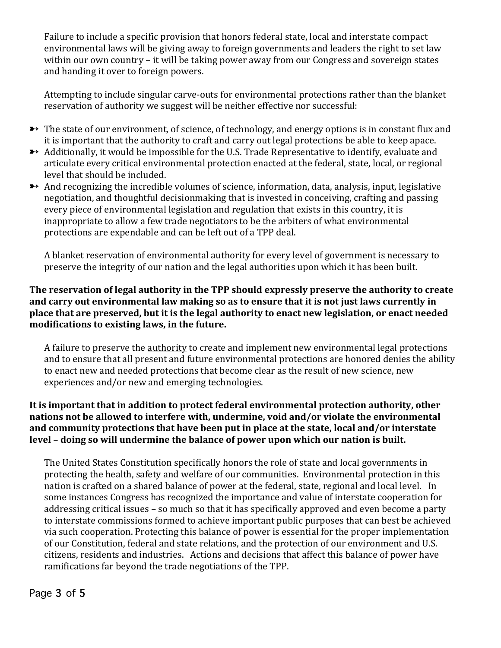Failure to include a specific provision that honors federal state, local and interstate compact environmental laws will be giving away to foreign governments and leaders the right to set law within our own country  $-$  it will be taking power away from our Congress and sovereign states and handing it over to foreign powers.

Attempting to include singular carve-outs for environmental protections rather than the blanket reservation of authority we suggest will be neither effective nor successful:

- $\rightarrow$  The state of our environment, of science, of technology, and energy options is in constant flux and it is important that the authority to craft and carry out legal protections be able to keep apace.
- $\rightarrow$  Additionally, it would be impossible for the U.S. Trade Representative to identify, evaluate and articulate every critical environmental protection enacted at the federal, state, local, or regional level that should be included.
- $\rightarrow$  And recognizing the incredible volumes of science, information, data, analysis, input, legislative negotiation, and thoughtful decisionmaking that is invested in conceiving, crafting and passing every piece of environmental legislation and regulation that exists in this country, it is inappropriate to allow a few trade negotiators to be the arbiters of what environmental protections are expendable and can be left out of a TPP deal.

A blanket reservation of environmental authority for every level of government is necessary to preserve the integrity of our nation and the legal authorities upon which it has been built.

#### **The reservation of legal authority in the TPP should expressly preserve the authority to create** and carry out environmental law making so as to ensure that it is not just laws currently in **place that are preserved, but it is the legal authority to enact new legislation, or enact needed** modifications to existing laws, in the future.

A failure to preserve the authority to create and implement new environmental legal protections and to ensure that all present and future environmental protections are honored denies the ability to enact new and needed protections that become clear as the result of new science, new experiences and/or new and emerging technologies.

## It is important that in addition to protect federal environmental protection authority, other nations not be allowed to interfere with, undermine, void and/or violate the environmental and community protections that have been put in place at the state, local and/or interstate **level** – doing so will undermine the balance of power upon which our nation is built.

The United States Constitution specifically honors the role of state and local governments in protecting the health, safety and welfare of our communities. Environmental protection in this nation is crafted on a shared balance of power at the federal, state, regional and local level. In some instances Congress has recognized the importance and value of interstate cooperation for addressing critical issues – so much so that it has specifically approved and even become a party to interstate commissions formed to achieve important public purposes that can best be achieved via such cooperation. Protecting this balance of power is essential for the proper implementation of our Constitution, federal and state relations, and the protection of our environment and U.S. citizens, residents and industries. Actions and decisions that affect this balance of power have ramifications far beyond the trade negotiations of the TPP.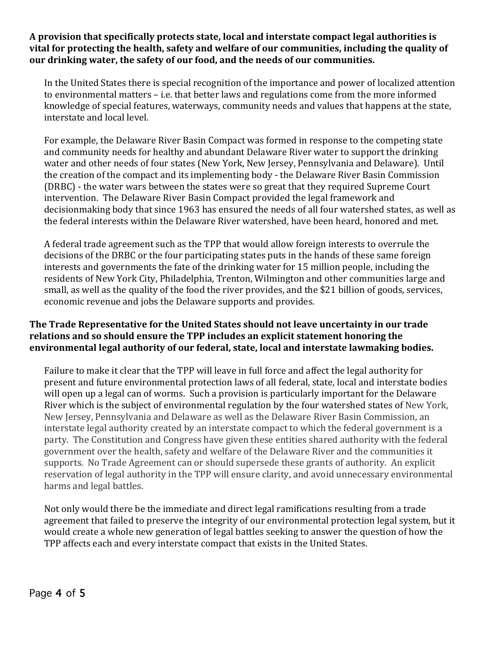#### A provision that specifically protects state, local and interstate compact legal authorities is vital for protecting the health, safety and welfare of our communities, including the quality of our drinking water, the safety of our food, and the needs of our communities.

In the United States there is special recognition of the importance and power of localized attention to environmental matters - i.e. that better laws and regulations come from the more informed knowledge of special features, waterways, community needs and values that happens at the state, interstate and local level.

For example, the Delaware River Basin Compact was formed in response to the competing state and community needs for healthy and abundant Delaware River water to support the drinking water and other needs of four states (New York, New Jersey, Pennsylvania and Delaware). Until the creation of the compact and its implementing body - the Delaware River Basin Commission (DRBC) - the water wars between the states were so great that they required Supreme Court intervention. The Delaware River Basin Compact provided the legal framework and decisionmaking body that since 1963 has ensured the needs of all four watershed states, as well as the federal interests within the Delaware River watershed, have been heard, honored and met.

A federal trade agreement such as the TPP that would allow foreign interests to overrule the decisions of the DRBC or the four participating states puts in the hands of these same foreign interests and governments the fate of the drinking water for 15 million people, including the residents of New York City, Philadelphia, Trenton, Wilmington and other communities large and small, as well as the quality of the food the river provides, and the \$21 billion of goods, services, economic revenue and jobs the Delaware supports and provides.

## The Trade Representative for the United States should not leave uncertainty in our trade relations and so should ensure the TPP includes an explicit statement honoring the environmental legal authority of our federal, state, local and interstate lawmaking bodies.

Failure to make it clear that the TPP will leave in full force and affect the legal authority for present and future environmental protection laws of all federal, state, local and interstate bodies will open up a legal can of worms. Such a provision is particularly important for the Delaware River which is the subject of environmental regulation by the four watershed states of New York, New Jersey, Pennsylvania and Delaware as well as the Delaware River Basin Commission, an interstate legal authority created by an interstate compact to which the federal government is a party. The Constitution and Congress have given these entities shared authority with the federal government over the health, safety and welfare of the Delaware River and the communities it supports. No Trade Agreement can or should supersede these grants of authority. An explicit reservation of legal authority in the TPP will ensure clarity, and avoid unnecessary environmental harms and legal battles.

Not only would there be the immediate and direct legal ramifications resulting from a trade agreement that failed to preserve the integrity of our environmental protection legal system, but it would create a whole new generation of legal battles seeking to answer the question of how the TPP affects each and every interstate compact that exists in the United States.